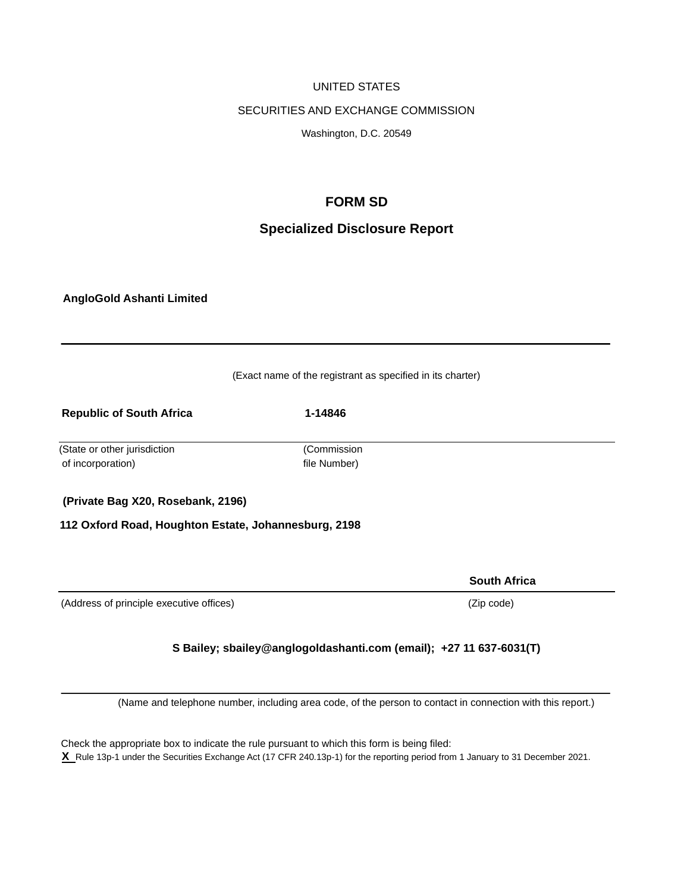## UNITED STATES

#### SECURITIES AND EXCHANGE COMMISSION

Washington, D.C. 20549

## **FORM SD**

# **Specialized Disclosure Report**

**AngloGold Ashanti Limited** 

| (Exact name of the registrant as specified in its charter) |                             |                     |
|------------------------------------------------------------|-----------------------------|---------------------|
| <b>Republic of South Africa</b>                            | 1-14846                     |                     |
| (State or other jurisdiction<br>of incorporation)          | (Commission<br>file Number) |                     |
| (Private Bag X20, Rosebank, 2196)                          |                             |                     |
| 112 Oxford Road, Houghton Estate, Johannesburg, 2198       |                             |                     |
|                                                            |                             |                     |
|                                                            |                             | <b>South Africa</b> |
| (Address of principle executive offices)                   |                             | (Zip code)          |

## **S Bailey; sbailey@anglogoldashanti.com (email); +27 11 637-6031(T)**

(Name and telephone number, including area code, of the person to contact in connection with this report.)

Check the appropriate box to indicate the rule pursuant to which this form is being filed: **X** Rule 13p-1 under the Securities Exchange Act (17 CFR 240.13p-1) for the reporting period from 1 January to 31 December 2021.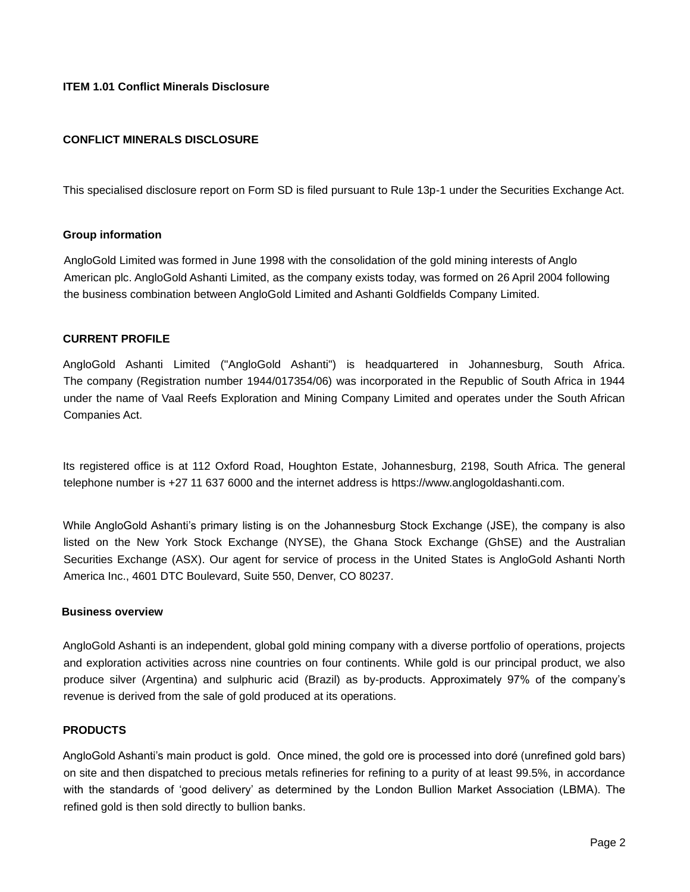## **ITEM 1.01 Conflict Minerals Disclosure**

## **CONFLICT MINERALS DISCLOSURE**

This specialised disclosure report on Form SD is filed pursuant to Rule 13p-1 under the Securities Exchange Act.

#### **Group information**

AngloGold Limited was formed in June 1998 with the consolidation of the gold mining interests of Anglo American plc. AngloGold Ashanti Limited, as the company exists today, was formed on 26 April 2004 following the business combination between AngloGold Limited and Ashanti Goldfields Company Limited.

#### **CURRENT PROFILE**

AngloGold Ashanti Limited ("AngloGold Ashanti") is headquartered in Johannesburg, South Africa. The company (Registration number 1944/017354/06) was incorporated in the Republic of South Africa in 1944 under the name of Vaal Reefs Exploration and Mining Company Limited and operates under the South African Companies Act.

Its registered office is at 112 Oxford Road, Houghton Estate, Johannesburg, 2198, South Africa. The general telephone number is +27 11 637 6000 and the internet address is https://www.anglogoldashanti.com.

While AngloGold Ashanti's primary listing is on the Johannesburg Stock Exchange (JSE), the company is also listed on the New York Stock Exchange (NYSE), the Ghana Stock Exchange (GhSE) and the Australian Securities Exchange (ASX). Our agent for service of process in the United States is AngloGold Ashanti North America Inc., 4601 DTC Boulevard, Suite 550, Denver, CO 80237.

#### **Business overview**

AngloGold Ashanti is an independent, global gold mining company with a diverse portfolio of operations, projects and exploration activities across nine countries on four continents. While gold is our principal product, we also produce silver (Argentina) and sulphuric acid (Brazil) as by-products. Approximately 97% of the company's revenue is derived from the sale of gold produced at its operations.

#### **PRODUCTS**

AngloGold Ashanti's main product is gold. Once mined, the gold ore is processed into doré (unrefined gold bars) on site and then dispatched to precious metals refineries for refining to a purity of at least 99.5%, in accordance with the standards of 'good delivery' as determined by the London Bullion Market Association (LBMA). The refined gold is then sold directly to bullion banks.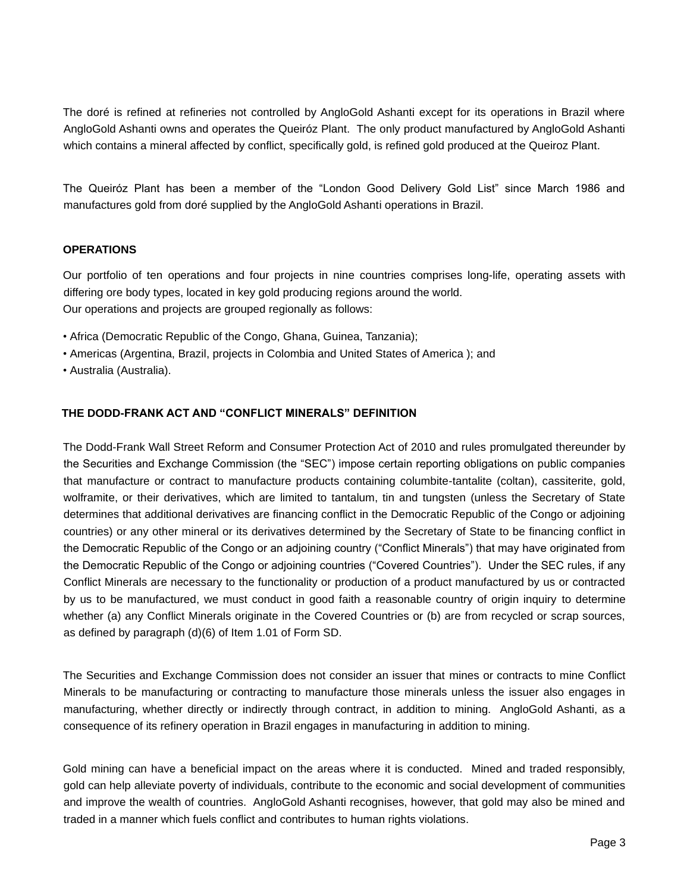The doré is refined at refineries not controlled by AngloGold Ashanti except for its operations in Brazil where AngloGold Ashanti owns and operates the Queiróz Plant. The only product manufactured by AngloGold Ashanti which contains a mineral affected by conflict, specifically gold, is refined gold produced at the Queiroz Plant.

The Queiróz Plant has been a member of the "London Good Delivery Gold List" since March 1986 and manufactures gold from doré supplied by the AngloGold Ashanti operations in Brazil.

## **OPERATIONS**

Our portfolio of ten operations and four projects in nine countries comprises long-life, operating assets with differing ore body types, located in key gold producing regions around the world. Our operations and projects are grouped regionally as follows:

- Africa (Democratic Republic of the Congo, Ghana, Guinea, Tanzania);
- Americas (Argentina, Brazil, projects in Colombia and United States of America ); and
- Australia (Australia).

## **THE DODD-FRANK ACT AND "CONFLICT MINERALS" DEFINITION**

The Dodd-Frank Wall Street Reform and Consumer Protection Act of 2010 and rules promulgated thereunder by the Securities and Exchange Commission (the "SEC") impose certain reporting obligations on public companies that manufacture or contract to manufacture products containing columbite-tantalite (coltan), cassiterite, gold, wolframite, or their derivatives, which are limited to tantalum, tin and tungsten (unless the Secretary of State determines that additional derivatives are financing conflict in the Democratic Republic of the Congo or adjoining countries) or any other mineral or its derivatives determined by the Secretary of State to be financing conflict in the Democratic Republic of the Congo or an adjoining country ("Conflict Minerals") that may have originated from the Democratic Republic of the Congo or adjoining countries ("Covered Countries"). Under the SEC rules, if any Conflict Minerals are necessary to the functionality or production of a product manufactured by us or contracted by us to be manufactured, we must conduct in good faith a reasonable country of origin inquiry to determine whether (a) any Conflict Minerals originate in the Covered Countries or (b) are from recycled or scrap sources, as defined by paragraph (d)(6) of Item 1.01 of Form SD.

The Securities and Exchange Commission does not consider an issuer that mines or contracts to mine Conflict Minerals to be manufacturing or contracting to manufacture those minerals unless the issuer also engages in manufacturing, whether directly or indirectly through contract, in addition to mining. AngloGold Ashanti, as a consequence of its refinery operation in Brazil engages in manufacturing in addition to mining.

Gold mining can have a beneficial impact on the areas where it is conducted. Mined and traded responsibly, gold can help alleviate poverty of individuals, contribute to the economic and social development of communities and improve the wealth of countries. AngloGold Ashanti recognises, however, that gold may also be mined and traded in a manner which fuels conflict and contributes to human rights violations.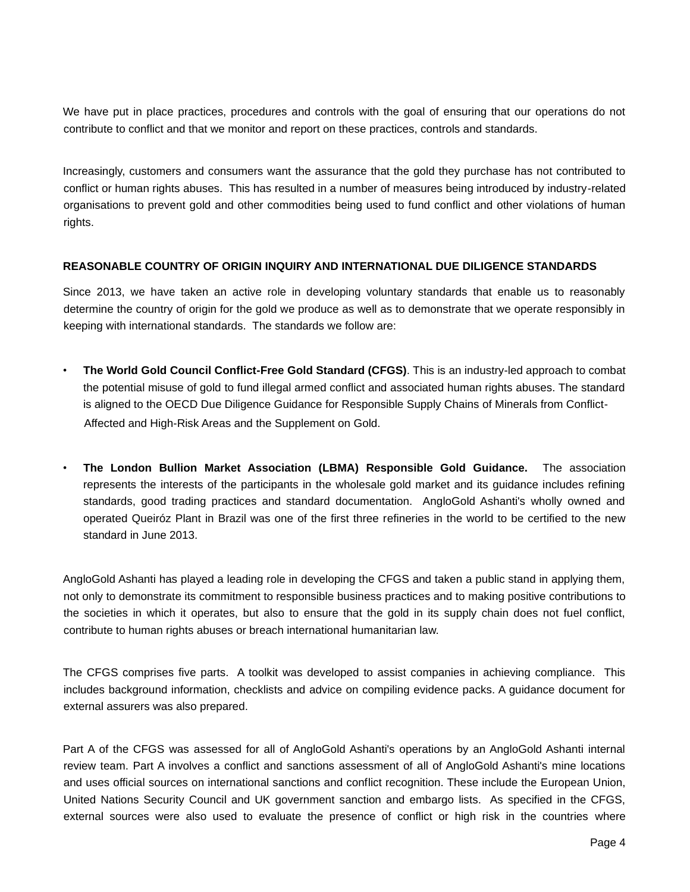We have put in place practices, procedures and controls with the goal of ensuring that our operations do not contribute to conflict and that we monitor and report on these practices, controls and standards.

Increasingly, customers and consumers want the assurance that the gold they purchase has not contributed to conflict or human rights abuses. This has resulted in a number of measures being introduced by industry-related organisations to prevent gold and other commodities being used to fund conflict and other violations of human rights.

## **REASONABLE COUNTRY OF ORIGIN INQUIRY AND INTERNATIONAL DUE DILIGENCE STANDARDS**

Since 2013, we have taken an active role in developing voluntary standards that enable us to reasonably determine the country of origin for the gold we produce as well as to demonstrate that we operate responsibly in keeping with international standards. The standards we follow are:

- **The World Gold Council Conflict-Free Gold Standard (CFGS)**. This is an industry-led approach to combat the potential misuse of gold to fund illegal armed conflict and associated human rights abuses. The standard is aligned to the OECD Due Diligence Guidance for Responsible Supply Chains of Minerals from Conflict-Affected and High-Risk Areas and the Supplement on Gold.
- **The London Bullion Market Association (LBMA) Responsible Gold Guidance.** The association represents the interests of the participants in the wholesale gold market and its guidance includes refining standards, good trading practices and standard documentation. AngloGold Ashanti's wholly owned and operated Queiróz Plant in Brazil was one of the first three refineries in the world to be certified to the new standard in June 2013.

AngloGold Ashanti has played a leading role in developing the CFGS and taken a public stand in applying them, not only to demonstrate its commitment to responsible business practices and to making positive contributions to the societies in which it operates, but also to ensure that the gold in its supply chain does not fuel conflict, contribute to human rights abuses or breach international humanitarian law.

The CFGS comprises five parts. A toolkit was developed to assist companies in achieving compliance. This includes background information, checklists and advice on compiling evidence packs. A guidance document for external assurers was also prepared.

Part A of the CFGS was assessed for all of AngloGold Ashanti's operations by an AngloGold Ashanti internal review team. Part A involves a conflict and sanctions assessment of all of AngloGold Ashanti's mine locations and uses official sources on international sanctions and conflict recognition. These include the European Union, United Nations Security Council and UK government sanction and embargo lists. As specified in the CFGS, external sources were also used to evaluate the presence of conflict or high risk in the countries where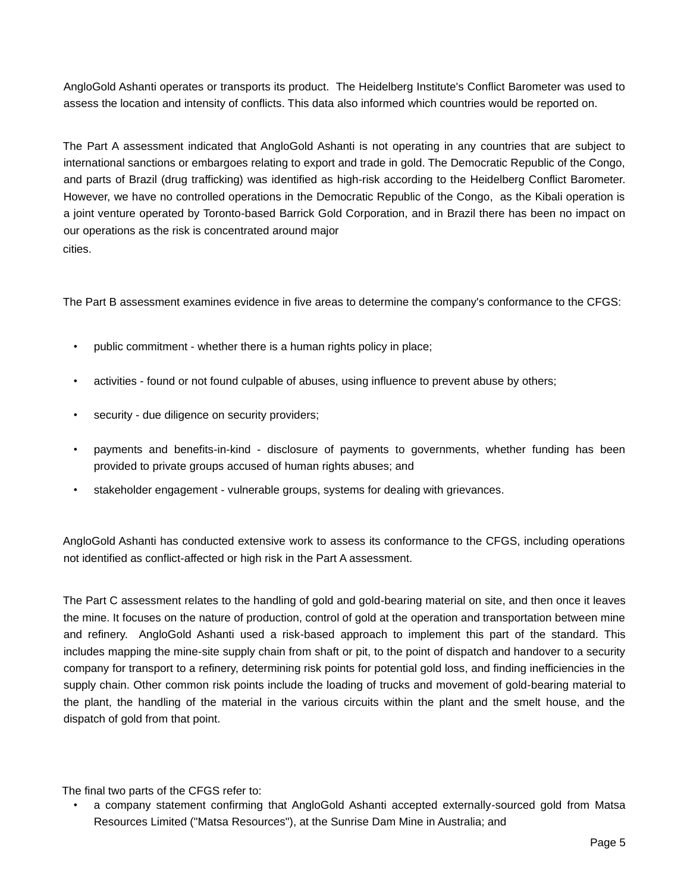AngloGold Ashanti operates or transports its product. The Heidelberg Institute's Conflict Barometer was used to assess the location and intensity of conflicts. This data also informed which countries would be reported on.

The Part A assessment indicated that AngloGold Ashanti is not operating in any countries that are subject to international sanctions or embargoes relating to export and trade in gold. The Democratic Republic of the Congo, and parts of Brazil (drug trafficking) was identified as high-risk according to the Heidelberg Conflict Barometer. However, we have no controlled operations in the Democratic Republic of the Congo, as the Kibali operation is a joint venture operated by Toronto-based Barrick Gold Corporation, and in Brazil there has been no impact on our operations as the risk is concentrated around major cities.

The Part B assessment examines evidence in five areas to determine the company's conformance to the CFGS:

- public commitment whether there is a human rights policy in place;
- activities found or not found culpable of abuses, using influence to prevent abuse by others;
- security due diligence on security providers;
- payments and benefits-in-kind disclosure of payments to governments, whether funding has been provided to private groups accused of human rights abuses; and
- stakeholder engagement vulnerable groups, systems for dealing with grievances.

AngloGold Ashanti has conducted extensive work to assess its conformance to the CFGS, including operations not identified as conflict-affected or high risk in the Part A assessment.

The Part C assessment relates to the handling of gold and gold-bearing material on site, and then once it leaves the mine. It focuses on the nature of production, control of gold at the operation and transportation between mine and refinery. AngloGold Ashanti used a risk-based approach to implement this part of the standard. This includes mapping the mine-site supply chain from shaft or pit, to the point of dispatch and handover to a security company for transport to a refinery, determining risk points for potential gold loss, and finding inefficiencies in the supply chain. Other common risk points include the loading of trucks and movement of gold-bearing material to the plant, the handling of the material in the various circuits within the plant and the smelt house, and the dispatch of gold from that point.

The final two parts of the CFGS refer to:

• a company statement confirming that AngloGold Ashanti accepted externally-sourced gold from Matsa Resources Limited ("Matsa Resources"), at the Sunrise Dam Mine in Australia; and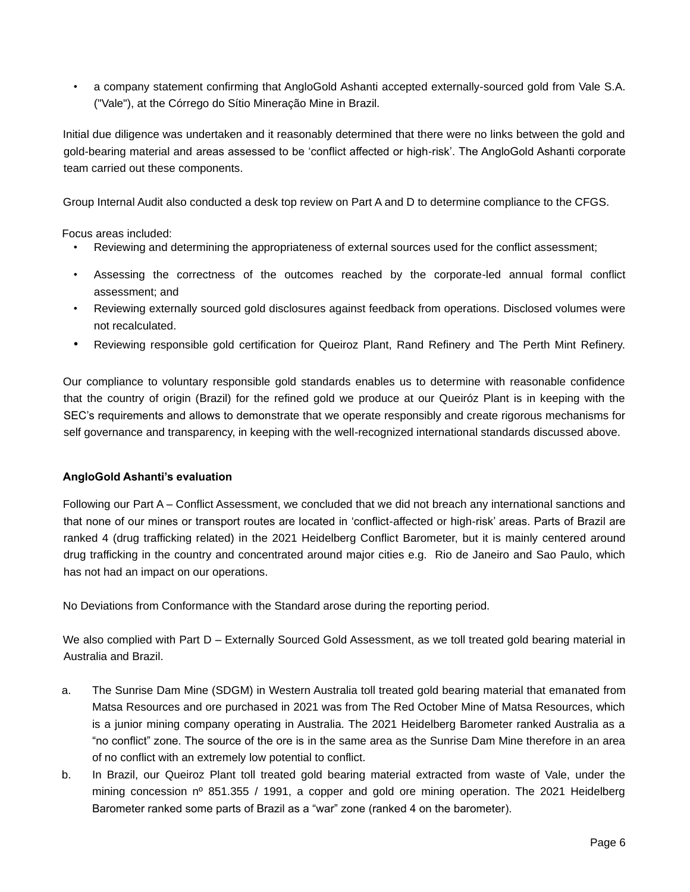• a company statement confirming that AngloGold Ashanti accepted externally-sourced gold from Vale S.A. ("Vale"), at the Córrego do Sítio Mineração Mine in Brazil.

Initial due diligence was undertaken and it reasonably determined that there were no links between the gold and gold-bearing material and areas assessed to be 'conflict affected or high-risk'. The AngloGold Ashanti corporate team carried out these components.

Group Internal Audit also conducted a desk top review on Part A and D to determine compliance to the CFGS.

Focus areas included:

- Reviewing and determining the appropriateness of external sources used for the conflict assessment;
- Assessing the correctness of the outcomes reached by the corporate-led annual formal conflict assessment; and
- Reviewing externally sourced gold disclosures against feedback from operations. Disclosed volumes were not recalculated.
- Reviewing responsible gold certification for Queiroz Plant, Rand Refinery and The Perth Mint Refinery.

Our compliance to voluntary responsible gold standards enables us to determine with reasonable confidence that the country of origin (Brazil) for the refined gold we produce at our Queiróz Plant is in keeping with the SEC's requirements and allows to demonstrate that we operate responsibly and create rigorous mechanisms for self governance and transparency, in keeping with the well-recognized international standards discussed above.

## **AngloGold Ashanti's evaluation**

Following our Part A – Conflict Assessment, we concluded that we did not breach any international sanctions and that none of our mines or transport routes are located in 'conflict-affected or high-risk' areas. Parts of Brazil are ranked 4 (drug trafficking related) in the 2021 Heidelberg Conflict Barometer, but it is mainly centered around drug trafficking in the country and concentrated around major cities e.g. Rio de Janeiro and Sao Paulo, which has not had an impact on our operations.

No Deviations from Conformance with the Standard arose during the reporting period.

We also complied with Part D – Externally Sourced Gold Assessment, as we toll treated gold bearing material in Australia and Brazil.

- a. The Sunrise Dam Mine (SDGM) in Western Australia toll treated gold bearing material that emanated from Matsa Resources and ore purchased in 2021 was from The Red October Mine of Matsa Resources, which is a junior mining company operating in Australia. The 2021 Heidelberg Barometer ranked Australia as a "no conflict" zone. The source of the ore is in the same area as the Sunrise Dam Mine therefore in an area of no conflict with an extremely low potential to conflict.
- b. In Brazil, our Queiroz Plant toll treated gold bearing material extracted from waste of Vale, under the mining concession nº 851.355 / 1991, a copper and gold ore mining operation. The 2021 Heidelberg Barometer ranked some parts of Brazil as a "war" zone (ranked 4 on the barometer).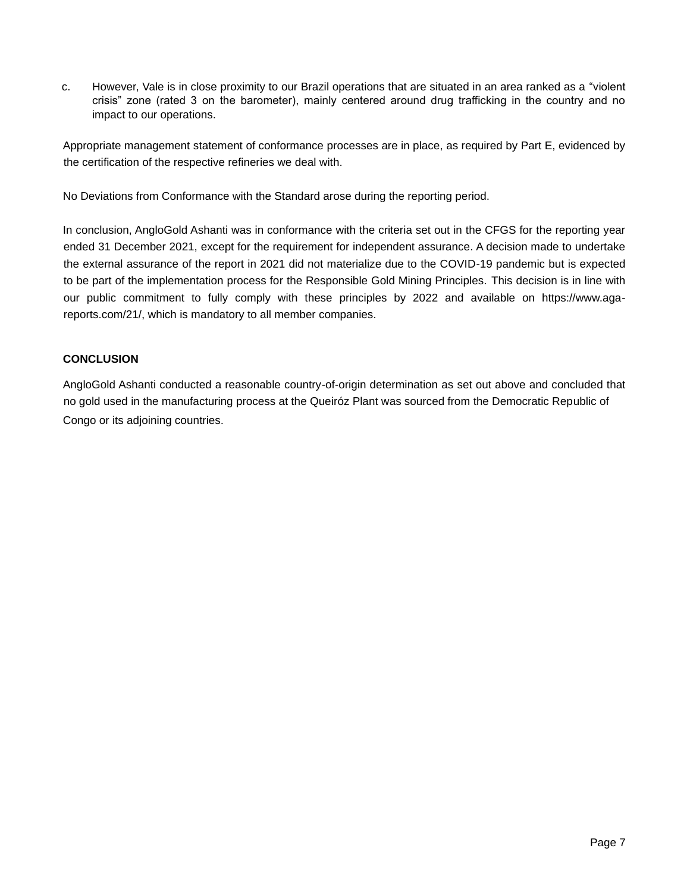c. However, Vale is in close proximity to our Brazil operations that are situated in an area ranked as a "violent crisis" zone (rated 3 on the barometer), mainly centered around drug trafficking in the country and no impact to our operations.

Appropriate management statement of conformance processes are in place, as required by Part E, evidenced by the certification of the respective refineries we deal with.

No Deviations from Conformance with the Standard arose during the reporting period.

In conclusion, AngloGold Ashanti was in conformance with the criteria set out in the CFGS for the reporting year ended 31 December 2021, except for the requirement for independent assurance. A decision made to undertake the external assurance of the report in 2021 did not materialize due to the COVID-19 pandemic but is expected to be part of the implementation process for the Responsible Gold Mining Principles. This decision is in line with our public commitment to fully comply with these principles by 2022 and available on https://www.agareports.com/21/, which is mandatory to all member companies.

## **CONCLUSION**

AngloGold Ashanti conducted a reasonable country-of-origin determination as set out above and concluded that no gold used in the manufacturing process at the Queiróz Plant was sourced from the Democratic Republic of Congo or its adjoining countries.